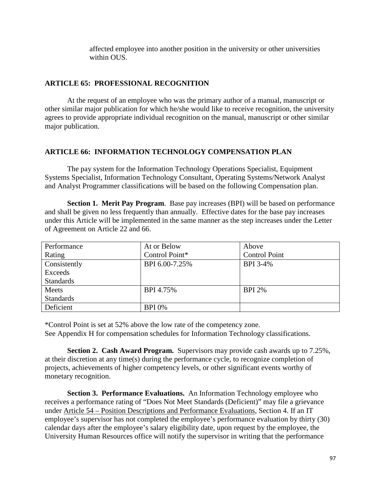## **ARTICLE 66: INFORMATION TECHNOLOGY COMPENSATION PLAN**

The pay system for the Information Technology Operations Specialist, Equipment Systems Specialist, Information Technology Consultant, Operating Systems/Network Analyst and Analyst Programmer classifications will be based on the following Compensation plan.

**Section 1. Merit Pay Program**. Base pay increases (BPI) will be based on performance and shall be given no less frequently than annually. Effective dates for the base pay increases under this Article will be implemented in the same manner as the step increases under the Letter of Agreement on Article 22 and 66.

| Performance      | At or Below    | Above                |
|------------------|----------------|----------------------|
| Rating           | Control Point* | <b>Control Point</b> |
| Consistently     | BPI 6.00-7.25% | BPI 3-4%             |
| Exceeds          |                |                      |
| <b>Standards</b> |                |                      |
| Meets            | BPI 4.75%      | <b>BPI 2%</b>        |
| <b>Standards</b> |                |                      |
| Deficient        | <b>BPI 0%</b>  |                      |

\*Control Point is set at 52% above the low rate of the competency zone. See Appendix H for compensation schedules for Information Technology classifications.

**Section 2. Cash Award Program.** Supervisors may provide cash awards up to 7.25%, at their discretion at any time(s) during the performance cycle, to recognize completion of projects, achievements of higher competency levels, or other significant events worthy of monetary recognition.

**Section 3. Performance Evaluations.** An Information Technology employee who receives a performance rating of "Does Not Meet Standards (Deficient)" may file a grievance under Article 54 – Position Descriptions and Performance Evaluations, Section 4. If an IT employee's supervisor has not completed the employee's performance evaluation by thirty (30) calendar days after the employee's salary eligibility date, upon request by the employee, the University Human Resources office will notify the supervisor in writing that the performance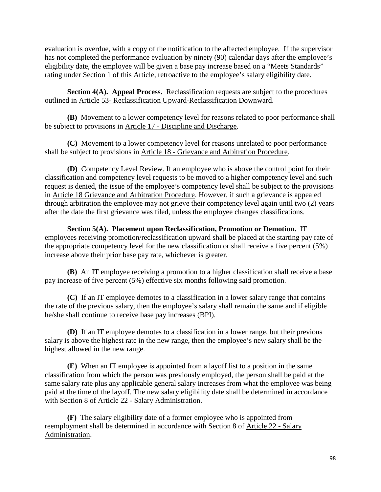evaluation is overdue, with a copy of the notification to the affected employee. If the supervisor has not completed the performance evaluation by ninety (90) calendar days after the employee's eligibility date, the employee will be given a base pay increase based on a "Meets Standards" rating under Section 1 of this Article, retroactive to the employee's salary eligibility date.

**Section 4(A). Appeal Process.** Reclassification requests are subject to the procedures outlined in Article 53- Reclassification Upward-Reclassification Downward.

**(B)** Movement to a lower competency level for reasons related to poor performance shall be subject to provisions in Article 17 - Discipline and Discharge.

**(C)** Movement to a lower competency level for reasons unrelated to poor performance shall be subject to provisions in Article 18 - Grievance and Arbitration Procedure.

**(D)** Competency Level Review. If an employee who is above the control point for their classification and competency level requests to be moved to a higher competency level and such request is denied, the issue of the employee's competency level shall be subject to the provisions in Article 18 Grievance and Arbitration Procedure. However, if such a grievance is appealed through arbitration the employee may not grieve their competency level again until two (2) years after the date the first grievance was filed, unless the employee changes classifications.

**Section 5(A). Placement upon Reclassification, Promotion or Demotion.** IT employees receiving promotion/reclassification upward shall be placed at the starting pay rate of the appropriate competency level for the new classification or shall receive a five percent (5%) increase above their prior base pay rate, whichever is greater.

**(B)** An IT employee receiving a promotion to a higher classification shall receive a base pay increase of five percent (5%) effective six months following said promotion.

**(C)** If an IT employee demotes to a classification in a lower salary range that contains the rate of the previous salary, then the employee's salary shall remain the same and if eligible he/she shall continue to receive base pay increases (BPI).

**(D)** If an IT employee demotes to a classification in a lower range, but their previous salary is above the highest rate in the new range, then the employee's new salary shall be the highest allowed in the new range.

**(E)** When an IT employee is appointed from a layoff list to a position in the same classification from which the person was previously employed, the person shall be paid at the same salary rate plus any applicable general salary increases from what the employee was being paid at the time of the layoff. The new salary eligibility date shall be determined in accordance with Section 8 of Article 22 - Salary Administration.

**(F)** The salary eligibility date of a former employee who is appointed from reemployment shall be determined in accordance with Section 8 of Article 22 - Salary Administration.